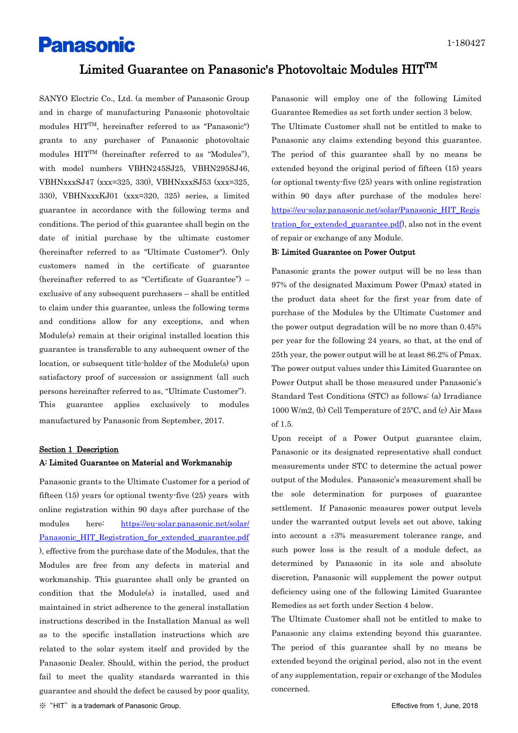# **Panasonic**

# $\rm{Limited~Guarantee~on~Panasonic's~Photovoltaic~Modules~HIT^{TM}}$

SANYO Electric Co., Ltd. (a member of Panasonic Group and in charge of manufacturing Panasonic photovoltaic modules HITTM, hereinafter referred to as "Panasonic") grants to any purchaser of Panasonic photovoltaic modules HITTM (hereinafter referred to as "Modules"), with model numbers VBHN245SJ25, VBHN295SJ46, VBHNxxxSJ47 (xxx=325, 330), VBHNxxxSJ53 (xxx=325, 330), VBHNxxxKJ01 (xxx=320, 325) series, a limited guarantee in accordance with the following terms and conditions. The period of this guarantee shall begin on the date of initial purchase by the ultimate customer (hereinafter referred to as "Ultimate Customer"). Only customers named in the certificate of guarantee (hereinafter referred to as "Certificate of Guarantee") – exclusive of any subsequent purchasers – shall be entitled to claim under this guarantee, unless the following terms and conditions allow for any exceptions, and when Module(s) remain at their original installed location this guarantee is transferable to any subsequent owner of the location, or subsequent title-holder of the Module(s) upon satisfactory proof of succession or assignment (all such persons hereinafter referred to as, "Ultimate Customer"). This guarantee applies exclusively to modules manufactured by Panasonic from September, 2017.

### Section 1 Description A: Limited Guarantee on Material and Workmanship

Panasonic grants to the Ultimate Customer for a period of fifteen (15) years (or optional twenty-five (25) years with online registration within 90 days after purchase of the modules here: [https://eu-solar.panasonic.net/solar/](https://eu-solar.panasonic.net/solar/%20Panasonic_HIT_Registration_for_extended_guarantee.pdf)  [Panasonic\\_HIT\\_Registration\\_for\\_extended\\_guarantee.pdf](https://eu-solar.panasonic.net/solar/%20Panasonic_HIT_Registration_for_extended_guarantee.pdf) ), effective from the purchase date of the Modules, that the Modules are free from any defects in material and workmanship. This guarantee shall only be granted on condition that the Module(s) is installed, used and maintained in strict adherence to the general installation instructions described in the Installation Manual as well as to the specific installation instructions which are related to the solar system itself and provided by the Panasonic Dealer. Should, within the period, the product fail to meet the quality standards warranted in this guarantee and should the defect be caused by poor quality,

Panasonic will employ one of the following Limited Guarantee Remedies as set forth under section 3 below. The Ultimate Customer shall not be entitled to make to Panasonic any claims extending beyond this guarantee. The period of this guarantee shall by no means be extended beyond the original period of fifteen (15) years (or optional twenty-five (25) years with online registration within 90 days after purchase of the modules here: [https://eu-solar.panasonic.net/solar/Panasonic\\_HIT\\_Regis](https://eu-solar.panasonic.net/solar/Panasonic_HIT_Registration_for_extended_guarantee.pdf) tration for extended guarantee.pdf), also not in the event of repair or exchange of any Module.

#### B: Limited Guarantee on Power Output

Panasonic grants the power output will be no less than 97% of the designated Maximum Power (Pmax) stated in the product data sheet for the first year from date of purchase of the Modules by the Ultimate Customer and the power output degradation will be no more than 0.45% per year for the following 24 years, so that, at the end of 25th year, the power output will be at least 86.2% of Pmax. The power output values under this Limited Guarantee on Power Output shall be those measured under Panasonic's Standard Test Conditions (STC) as follows: (a) Irradiance 1000 W/m2, (b) Cell Temperature of 25ºC, and (c) Air Mass of 1.5.

Upon receipt of a Power Output guarantee claim, Panasonic or its designated representative shall conduct measurements under STC to determine the actual power output of the Modules. Panasonic's measurement shall be the sole determination for purposes of guarantee settlement. If Panasonic measures power output levels under the warranted output levels set out above, taking into account a ±3% measurement tolerance range, and such power loss is the result of a module defect, as determined by Panasonic in its sole and absolute discretion, Panasonic will supplement the power output deficiency using one of the following Limited Guarantee Remedies as set forth under Section 4 below.

The Ultimate Customer shall not be entitled to make to Panasonic any claims extending beyond this guarantee. The period of this guarantee shall by no means be extended beyond the original period, also not in the event of any supplementation, repair or exchange of the Modules concerned.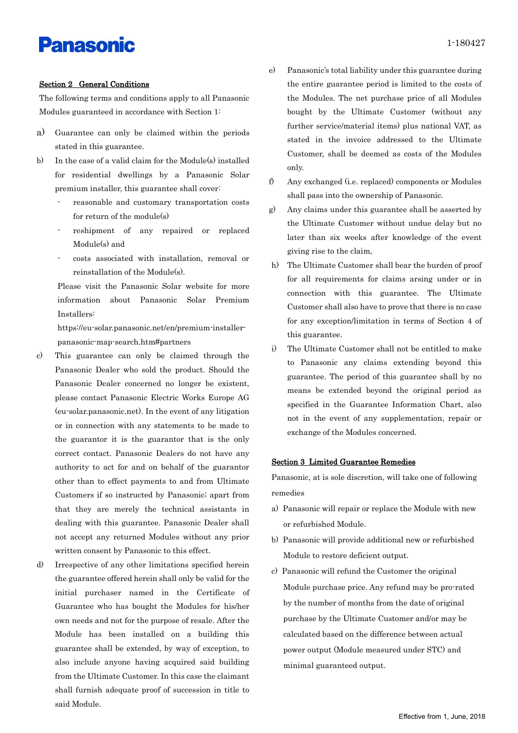# **Panasonic**

### Section 2 General Conditions

The following terms and conditions apply to all Panasonic Modules guaranteed in accordance with Section 1:

- a) Guarantee can only be claimed within the periods stated in this guarantee.
- b) In the case of a valid claim for the Module(s) installed for residential dwellings by a Panasonic Solar premium installer, this guarantee shall cover:
	- reasonable and customary transportation costs for return of the module(s)
	- reshipment of any repaired or replaced Module(s) and
	- costs associated with installation, removal or reinstallation of the Module(s).

Please visit the Panasonic Solar website for more information about Panasonic Solar Premium Installers:

https://eu-solar.panasonic.net/en/premium-installerpanasonic-map-search.htm#partners

- c) This guarantee can only be claimed through the Panasonic Dealer who sold the product. Should the Panasonic Dealer concerned no longer be existent, please contact Panasonic Electric Works Europe AG (eu-solar.panasonic.net). In the event of any litigation or in connection with any statements to be made to the guarantor it is the guarantor that is the only correct contact. Panasonic Dealers do not have any authority to act for and on behalf of the guarantor other than to effect payments to and from Ultimate Customers if so instructed by Panasonic; apart from that they are merely the technical assistants in dealing with this guarantee. Panasonic Dealer shall not accept any returned Modules without any prior written consent by Panasonic to this effect.
- d) Irrespective of any other limitations specified herein the guarantee offered herein shall only be valid for the initial purchaser named in the Certificate of Guarantee who has bought the Modules for his/her own needs and not for the purpose of resale. After the Module has been installed on a building this guarantee shall be extended, by way of exception, to also include anyone having acquired said building from the Ultimate Customer. In this case the claimant shall furnish adequate proof of succession in title to said Module.
- e) Panasonic's total liability under this guarantee during the entire guarantee period is limited to the costs of the Modules. The net purchase price of all Modules bought by the Ultimate Customer (without any further service/material items) plus national VAT, as stated in the invoice addressed to the Ultimate Customer, shall be deemed as costs of the Modules only.
- f) Any exchanged (i.e. replaced) components or Modules shall pass into the ownership of Panasonic.
- g) Any claims under this guarantee shall be asserted by the Ultimate Customer without undue delay but no later than six weeks after knowledge of the event giving rise to the claim,
- h) The Ultimate Customer shall bear the burden of proof for all requirements for claims arsing under or in connection with this guarantee. The Ultimate Customer shall also have to prove that there is no case for any exception/limitation in terms of Section 4 of this guarantee.
- i) The Ultimate Customer shall not be entitled to make to Panasonic any claims extending beyond this guarantee. The period of this guarantee shall by no means be extended beyond the original period as specified in the Guarantee Information Chart, also not in the event of any supplementation, repair or exchange of the Modules concerned.

## Section 3 Limited Guarantee Remedies

Panasonic, at is sole discretion, will take one of following remedies

- a) Panasonic will repair or replace the Module with new or refurbished Module.
- b) Panasonic will provide additional new or refurbished Module to restore deficient output.
- c) Panasonic will refund the Customer the original Module purchase price. Any refund may be pro-rated by the number of months from the date of original purchase by the Ultimate Customer and/or may be calculated based on the difference between actual power output (Module measured under STC) and minimal guaranteed output.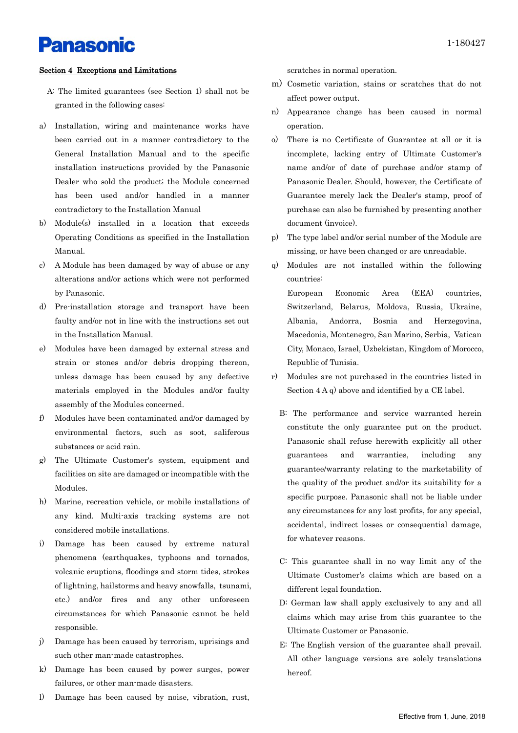# **Panasonic**

### Section 4 Exceptions and Limitations

- A: The limited guarantees (see Section 1) shall not be granted in the following cases:
- a) Installation, wiring and maintenance works have been carried out in a manner contradictory to the General Installation Manual and to the specific installation instructions provided by the Panasonic Dealer who sold the product; the Module concerned has been used and/or handled in a manner contradictory to the Installation Manual
- b) Module(s) installed in a location that exceeds Operating Conditions as specified in the Installation Manual.
- c) A Module has been damaged by way of abuse or any alterations and/or actions which were not performed by Panasonic.
- d) Pre-installation storage and transport have been faulty and/or not in line with the instructions set out in the Installation Manual.
- e) Modules have been damaged by external stress and strain or stones and/or debris dropping thereon, unless damage has been caused by any defective materials employed in the Modules and/or faulty assembly of the Modules concerned.
- f) Modules have been contaminated and/or damaged by environmental factors, such as soot, saliferous substances or acid rain.
- g) The Ultimate Customer's system, equipment and facilities on site are damaged or incompatible with the Modules.
- h) Marine, recreation vehicle, or mobile installations of any kind. Multi-axis tracking systems are not considered mobile installations.
- i) Damage has been caused by extreme natural phenomena (earthquakes, typhoons and tornados, volcanic eruptions, floodings and storm tides, strokes of lightning, hailstorms and heavy snowfalls, tsunami, etc.) and/or fires and any other unforeseen circumstances for which Panasonic cannot be held responsible.
- j) Damage has been caused by terrorism, uprisings and such other man-made catastrophes.
- k) Damage has been caused by power surges, power failures, or other man-made disasters.
- l) Damage has been caused by noise, vibration, rust,

scratches in normal operation.

- m) Cosmetic variation, stains or scratches that do not affect power output.
- n) Appearance change has been caused in normal operation.
- o) There is no Certificate of Guarantee at all or it is incomplete, lacking entry of Ultimate Customer's name and/or of date of purchase and/or stamp of Panasonic Dealer. Should, however, the Certificate of Guarantee merely lack the Dealer's stamp, proof of purchase can also be furnished by presenting another document (invoice).
- p) The type label and/or serial number of the Module are missing, or have been changed or are unreadable.
- q) Modules are not installed within the following countries:

European Economic Area (EEA) countries, Switzerland, Belarus, Moldova, Russia, Ukraine, Albania, Andorra, Bosnia and Herzegovina, Macedonia, Montenegro, San Marino, Serbia, Vatican City, Monaco, Israel, Uzbekistan, Kingdom of Morocco, Republic of Tunisia.

- r) Modules are not purchased in the countries listed in Section 4 A q) above and identified by a CE label.
	- B: The performance and service warranted herein constitute the only guarantee put on the product. Panasonic shall refuse herewith explicitly all other guarantees and warranties, including any guarantee/warranty relating to the marketability of the quality of the product and/or its suitability for a specific purpose. Panasonic shall not be liable under any circumstances for any lost profits, for any special, accidental, indirect losses or consequential damage, for whatever reasons.
	- C: This guarantee shall in no way limit any of the Ultimate Customer's claims which are based on a different legal foundation.
	- D: German law shall apply exclusively to any and all claims which may arise from this guarantee to the Ultimate Customer or Panasonic.
	- E: The English version of the guarantee shall prevail. All other language versions are solely translations hereof.